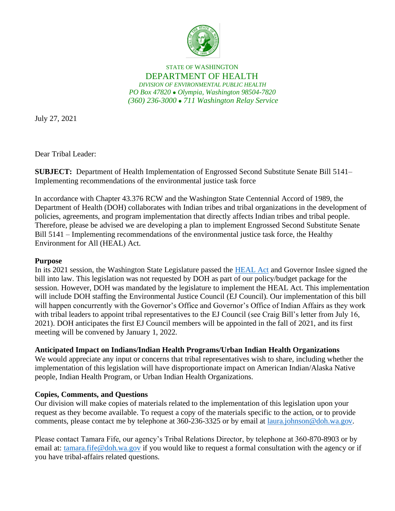

STATE OF WASHINGTON DEPARTMENT OF HEALTH *DIVISION OF ENVIRONMENTAL PUBLIC HEALTH PO Box 47820* ⚫ *Olympia, Washington 98504-7820 (360) 236-3000* ⚫ *711 Washington Relay Service*

July 27, 2021

Dear Tribal Leader:

**SUBJECT:** Department of Health Implementation of Engrossed Second Substitute Senate Bill 5141– Implementing recommendations of the environmental justice task force

In accordance with Chapter 43.376 RCW and the Washington State Centennial Accord of 1989, the Department of Health (DOH) collaborates with Indian tribes and tribal organizations in the development of policies, agreements, and program implementation that directly affects Indian tribes and tribal people. Therefore, please be advised we are developing a plan to implement Engrossed Second Substitute Senate Bill 5141 – Implementing recommendations of the environmental justice task force, the Healthy Environment for All (HEAL) Act.

## **Purpose**

In its 2021 session, the Washington State Legislature passed the [HEAL Act](http://lawfilesext.leg.wa.gov/biennium/2021-22/Pdf/Bills/Session%20Laws/Senate/5141-S2.SL.pdf) and Governor Inslee signed the bill into law. This legislation was not requested by DOH as part of our policy/budget package for the session. However, DOH was mandated by the legislature to implement the HEAL Act. This implementation will include DOH staffing the Environmental Justice Council (EJ Council). Our implementation of this bill will happen concurrently with the Governor's Office and Governor's Office of Indian Affairs as they work with tribal leaders to appoint tribal representatives to the EJ Council (see Craig Bill's letter from July 16, 2021). DOH anticipates the first EJ Council members will be appointed in the fall of 2021, and its first meeting will be convened by January 1, 2022.

## **Anticipated Impact on Indians/Indian Health Programs/Urban Indian Health Organizations**

We would appreciate any input or concerns that tribal representatives wish to share, including whether the implementation of this legislation will have disproportionate impact on American Indian/Alaska Native people, Indian Health Program, or Urban Indian Health Organizations.

## **Copies, Comments, and Questions**

Our division will make copies of materials related to the implementation of this legislation upon your request as they become available. To request a copy of the materials specific to the action, or to provide comments, please contact me by telephone at 360-236-3325 or by email at <u>laura.johnson@doh.wa.gov</u>.

Please contact Tamara Fife, our agency's Tribal Relations Director, by telephone at 360-870-8903 or by email at: [tamara.fife@doh.wa.gov](mailto:tamara.fife@doh.wa.gov) if you would like to request a formal consultation with the agency or if you have tribal-affairs related questions.